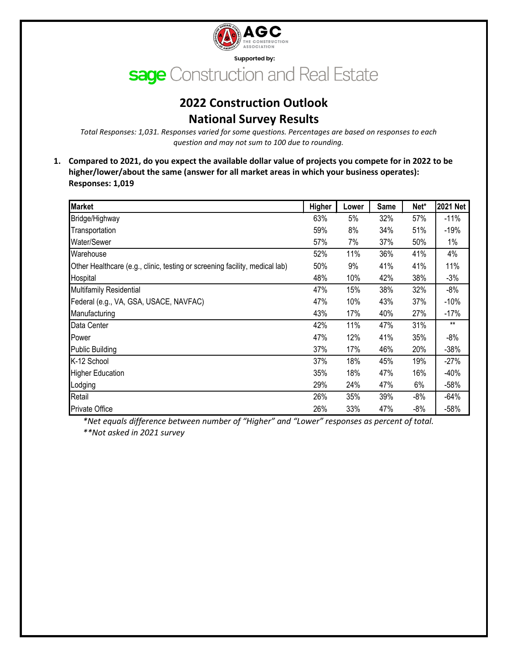

# **2022 Construction Outlook National Survey Results**

*Total Responses: 1,031. Responses varied for some questions. Percentages are based on responses to each question and may not sum to 100 due to rounding.*

**1. Compared to 2021, do you expect the available dollar value of projects you compete for in 2022 to be higher/lower/about the same (answer for all market areas in which your business operates): Responses: 1,019**

| <b>Market</b>                                                               | Higher | Lower | <b>Same</b> | Net*  | 2021 Net |
|-----------------------------------------------------------------------------|--------|-------|-------------|-------|----------|
| Bridge/Highway                                                              | 63%    | 5%    | 32%         | 57%   | $-11%$   |
| Transportation                                                              | 59%    | 8%    | 34%         | 51%   | $-19%$   |
| Water/Sewer                                                                 | 57%    | 7%    | 37%         | 50%   | $1\%$    |
| Warehouse                                                                   | 52%    | 11%   | 36%         | 41%   | 4%       |
| Other Healthcare (e.g., clinic, testing or screening facility, medical lab) | 50%    | 9%    | 41%         | 41%   | 11%      |
| Hospital                                                                    | 48%    | 10%   | 42%         | 38%   | $-3%$    |
| Multifamily Residential                                                     | 47%    | 15%   | 38%         | 32%   | $-8%$    |
| Federal (e.g., VA, GSA, USACE, NAVFAC)                                      | 47%    | 10%   | 43%         | 37%   | $-10%$   |
| Manufacturing                                                               | 43%    | 17%   | 40%         | 27%   | $-17%$   |
| Data Center                                                                 | 42%    | 11%   | 47%         | 31%   | $***$    |
| Power                                                                       | 47%    | 12%   | 41%         | 35%   | $-8%$    |
| <b>Public Building</b>                                                      | 37%    | 17%   | 46%         | 20%   | $-38%$   |
| K-12 School                                                                 | 37%    | 18%   | 45%         | 19%   | $-27%$   |
| <b>Higher Education</b>                                                     | 35%    | 18%   | 47%         | 16%   | $-40%$   |
| Lodging                                                                     | 29%    | 24%   | 47%         | 6%    | $-58%$   |
| Retail                                                                      | 26%    | 35%   | 39%         | $-8%$ | $-64%$   |
| <b>Private Office</b>                                                       | 26%    | 33%   | 47%         | -8%   | $-58%$   |

\*Net equals difference between number of "Higher" and "Lower" responses as percent of total. *\*\*Not asked in 2021 survey*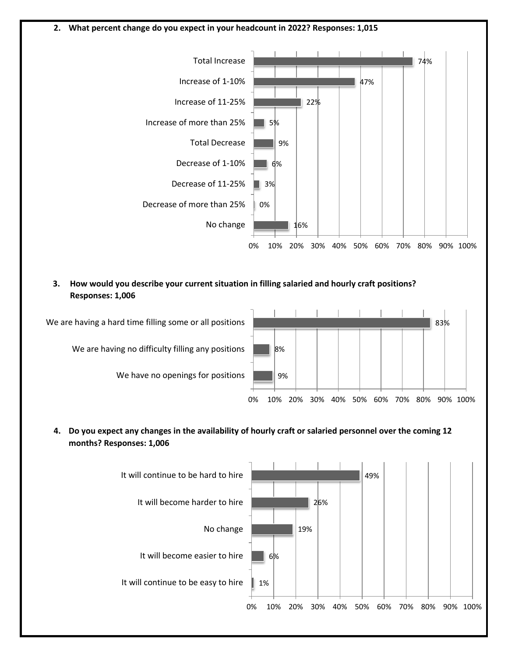### **2. What percent change do you expect in your headcount in 2022? Responses: 1,015**



**3. How would you describe your current situation in filling salaried and hourly craft positions? Responses: 1,006**



**4. Do you expect any changes in the availability of hourly craft or salaried personnel over the coming 12 months? Responses: 1,006**

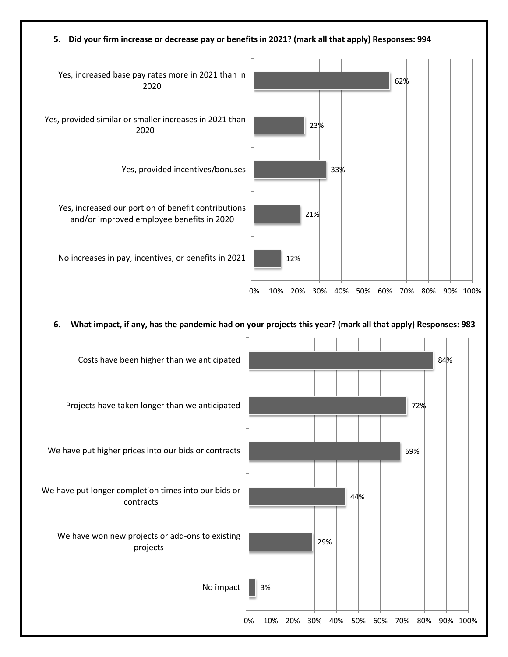## **5. Did your firm increase or decrease pay or benefits in 2021? (mark all that apply) Responses: 994**



### **6. What impact, if any, has the pandemic had on your projects this year? (mark all that apply) Responses: 983**

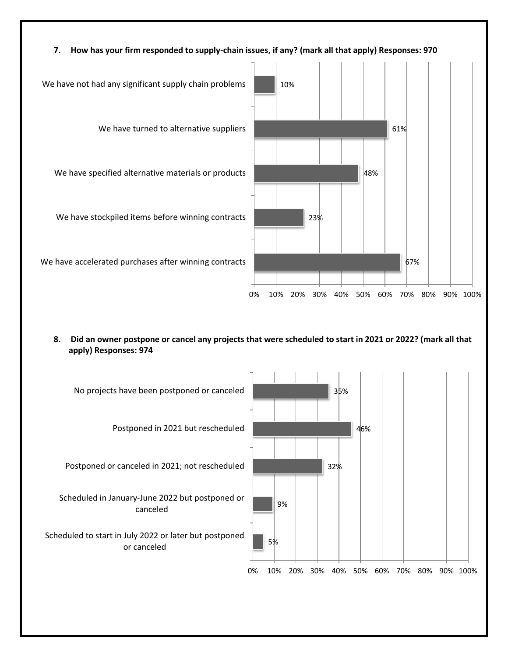

**8. Did an owner postpone or cancel any projects that were scheduled to start in 2021 or 2022? (mark all that apply) Responses: 974**

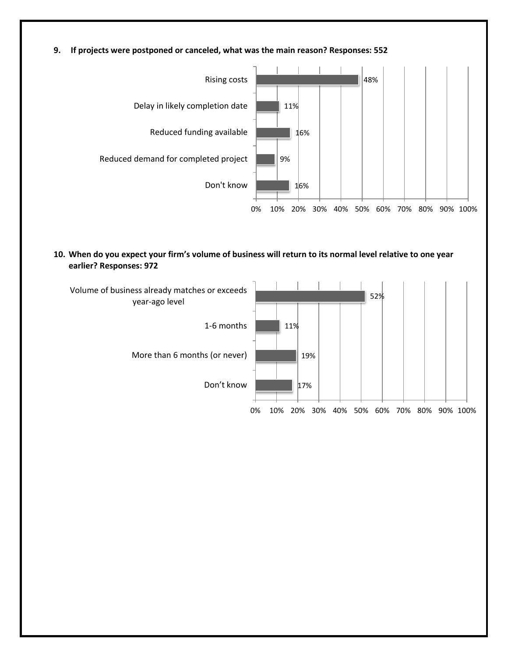**9. If projects were postponed or canceled, what was the main reason? Responses: 552**



**10. When do you expect your firm's volume of business will return to its normal level relative to one year earlier? Responses: 972**

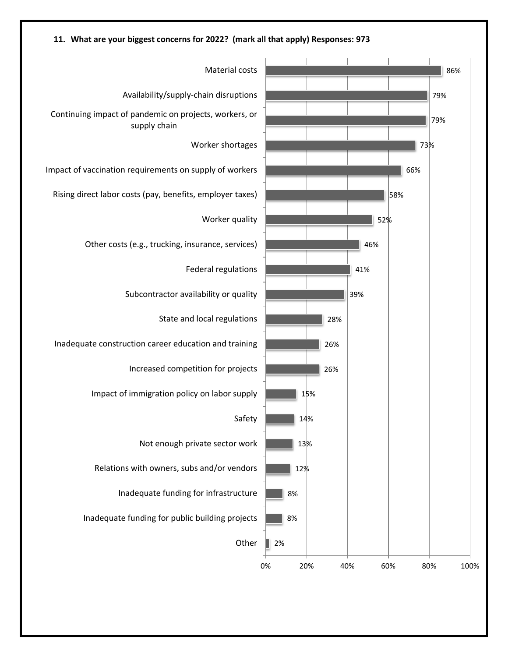

### **11. What are your biggest concerns for 2022? (mark all that apply) Responses: 973**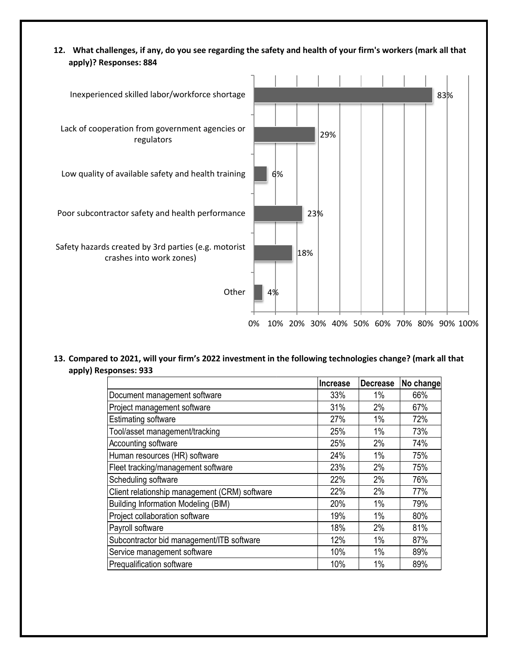**12. What challenges, if any, do you see regarding the safety and health of your firm's workers (mark all that apply)? Responses: 884**



**13. Compared to 2021, will your firm's 2022 investment in the following technologies change? (mark all that apply) Responses: 933**

|                                               | <b>Increase</b> | <b>Decrease</b> | No change |
|-----------------------------------------------|-----------------|-----------------|-----------|
| Document management software                  | 33%             | 1%              | 66%       |
| Project management software                   | 31%             | 2%              | 67%       |
| <b>Estimating software</b>                    | 27%             | 1%              | 72%       |
| Tool/asset management/tracking                | 25%             | 1%              | 73%       |
| Accounting software                           | 25%             | 2%              | 74%       |
| Human resources (HR) software                 | 24%             | 1%              | 75%       |
| Fleet tracking/management software            | 23%             | 2%              | 75%       |
| Scheduling software                           | 22%             | 2%              | 76%       |
| Client relationship management (CRM) software | 22%             | 2%              | 77%       |
| <b>Building Information Modeling (BIM)</b>    | 20%             | 1%              | 79%       |
| Project collaboration software                | 19%             | 1%              | 80%       |
| Payroll software                              | 18%             | 2%              | 81%       |
| Subcontractor bid management/ITB software     | 12%             | 1%              | 87%       |
| Service management software                   | 10%             | 1%              | 89%       |
| Prequalification software                     | 10%             | 1%              | 89%       |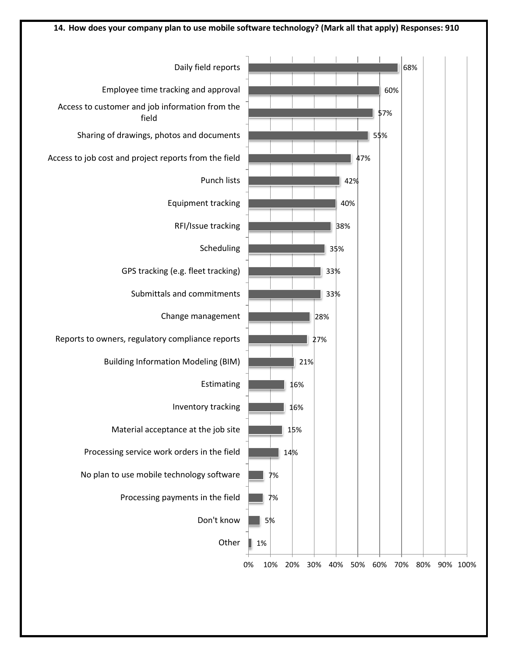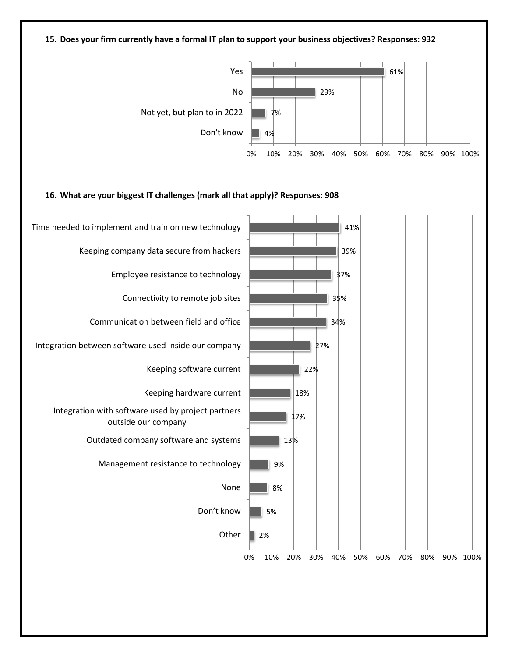### **15. Does your firm currently have a formal IT plan to support your business objectives? Responses: 932**



#### **16. What are your biggest IT challenges (mark all that apply)? Responses: 908**

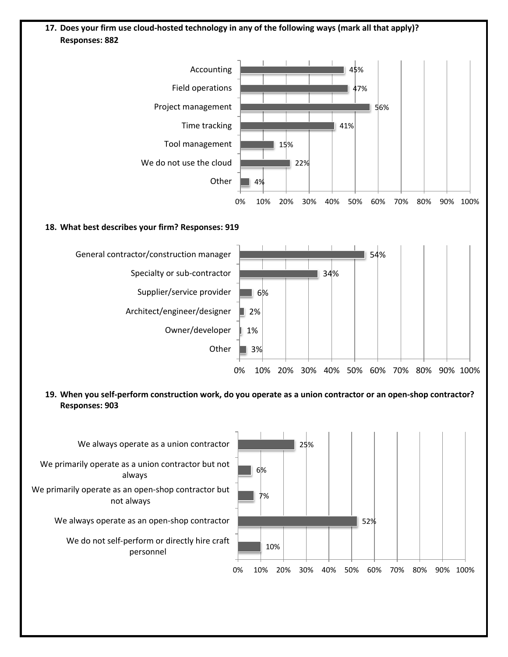## **17. Does your firm use cloud-hosted technology in any of the following ways (mark all that apply)? Responses: 882**